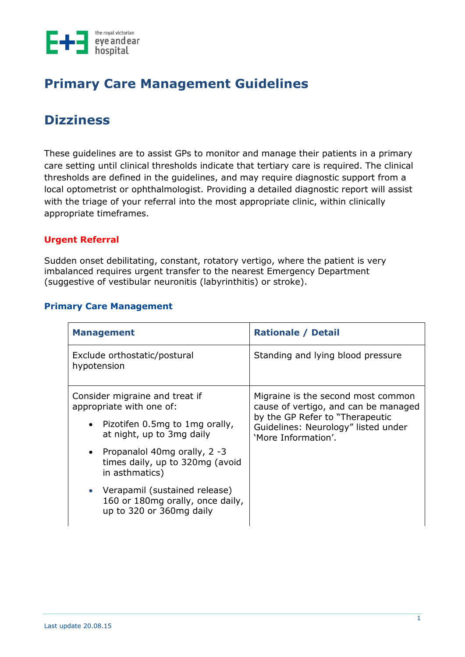

# **Primary Care Management Guidelines**

## **Dizziness**

These guidelines are to assist GPs to monitor and manage their patients in a primary care setting until clinical thresholds indicate that tertiary care is required. The clinical thresholds are defined in the guidelines, and may require diagnostic support from a local optometrist or ophthalmologist. Providing a detailed diagnostic report will assist with the triage of your referral into the most appropriate clinic, within clinically appropriate timeframes.

### **Urgent Referral**

Sudden onset debilitating, constant, rotatory vertigo, where the patient is very imbalanced requires urgent transfer to the nearest Emergency Department (suggestive of vestibular neuronitis (labyrinthitis) or stroke).

### **Primary Care Management**

| <b>Management</b>                                                                              |                                                                                                                  | <b>Rationale / Detail</b>                                                                                                                             |
|------------------------------------------------------------------------------------------------|------------------------------------------------------------------------------------------------------------------|-------------------------------------------------------------------------------------------------------------------------------------------------------|
| Exclude orthostatic/postural<br>hypotension                                                    |                                                                                                                  | Standing and lying blood pressure                                                                                                                     |
| Consider migraine and treat if<br>appropriate with one of:<br>• Pizotifen 0.5mg to 1mg orally, |                                                                                                                  | Migraine is the second most common<br>cause of vertigo, and can be managed<br>by the GP Refer to "Therapeutic"<br>Guidelines: Neurology" listed under |
|                                                                                                | at night, up to 3mg daily<br>• Propanalol 40mg orally, 2 -3<br>times daily, up to 320mg (avoid<br>in asthmatics) | 'More Information'.                                                                                                                                   |
|                                                                                                | • Verapamil (sustained release)<br>160 or 180mg orally, once daily,<br>up to 320 or 360mg daily                  |                                                                                                                                                       |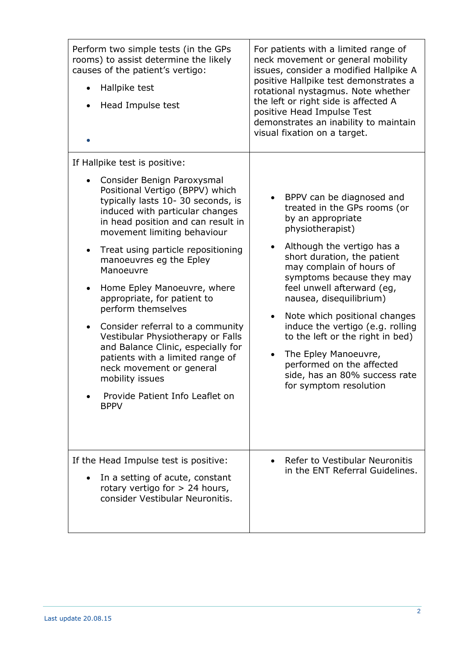| Perform two simple tests (in the GPs<br>rooms) to assist determine the likely<br>causes of the patient's vertigo:<br>Hallpike test<br>$\bullet$<br>Head Impulse test<br>$\bullet$                                                                                                                                                                                                                                                                                                                                                                                                                                                                                                                                     | For patients with a limited range of<br>neck movement or general mobility<br>issues, consider a modified Hallpike A<br>positive Hallpike test demonstrates a<br>rotational nystagmus. Note whether<br>the left or right side is affected A<br>positive Head Impulse Test<br>demonstrates an inability to maintain<br>visual fixation on a target.                                                                                                                                                                                    |
|-----------------------------------------------------------------------------------------------------------------------------------------------------------------------------------------------------------------------------------------------------------------------------------------------------------------------------------------------------------------------------------------------------------------------------------------------------------------------------------------------------------------------------------------------------------------------------------------------------------------------------------------------------------------------------------------------------------------------|--------------------------------------------------------------------------------------------------------------------------------------------------------------------------------------------------------------------------------------------------------------------------------------------------------------------------------------------------------------------------------------------------------------------------------------------------------------------------------------------------------------------------------------|
| If Hallpike test is positive:<br>Consider Benign Paroxysmal<br>$\bullet$<br>Positional Vertigo (BPPV) which<br>typically lasts 10-30 seconds, is<br>induced with particular changes<br>in head position and can result in<br>movement limiting behaviour<br>Treat using particle repositioning<br>$\bullet$<br>manoeuvres eg the Epley<br>Manoeuvre<br>Home Epley Manoeuvre, where<br>$\bullet$<br>appropriate, for patient to<br>perform themselves<br>Consider referral to a community<br>$\bullet$<br>Vestibular Physiotherapy or Falls<br>and Balance Clinic, especially for<br>patients with a limited range of<br>neck movement or general<br>mobility issues<br>Provide Patient Info Leaflet on<br><b>BPPV</b> | BPPV can be diagnosed and<br>treated in the GPs rooms (or<br>by an appropriate<br>physiotherapist)<br>Although the vertigo has a<br>$\bullet$<br>short duration, the patient<br>may complain of hours of<br>symptoms because they may<br>feel unwell afterward (eg,<br>nausea, disequilibrium)<br>Note which positional changes<br>induce the vertigo (e.g. rolling<br>to the left or the right in bed)<br>The Epley Manoeuvre,<br>$\bullet$<br>performed on the affected<br>side, has an 80% success rate<br>for symptom resolution |
| If the Head Impulse test is positive:<br>In a setting of acute, constant<br>rotary vertigo for $> 24$ hours,<br>consider Vestibular Neuronitis.                                                                                                                                                                                                                                                                                                                                                                                                                                                                                                                                                                       | Refer to Vestibular Neuronitis<br>in the ENT Referral Guidelines.                                                                                                                                                                                                                                                                                                                                                                                                                                                                    |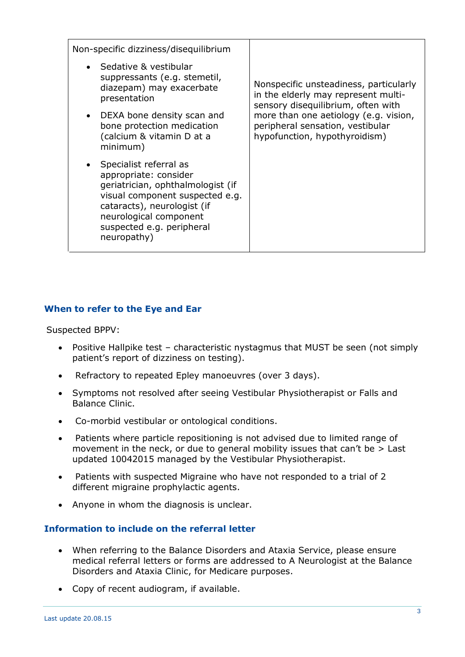| Non-specific dizziness/disequilibrium                                                                                                                                                                                        |                                                                                                                                                                                                                                   |
|------------------------------------------------------------------------------------------------------------------------------------------------------------------------------------------------------------------------------|-----------------------------------------------------------------------------------------------------------------------------------------------------------------------------------------------------------------------------------|
| Sedative & vestibular<br>suppressants (e.g. stemetil,<br>diazepam) may exacerbate<br>presentation<br>DEXA bone density scan and<br>bone protection medication                                                                | Nonspecific unsteadiness, particularly<br>in the elderly may represent multi-<br>sensory disequilibrium, often with<br>more than one aetiology (e.g. vision,<br>peripheral sensation, vestibular<br>hypofunction, hypothyroidism) |
| (calcium & vitamin D at a<br>minimum)                                                                                                                                                                                        |                                                                                                                                                                                                                                   |
| Specialist referral as<br>appropriate: consider<br>geriatrician, ophthalmologist (if<br>visual component suspected e.g.<br>cataracts), neurologist (if<br>neurological component<br>suspected e.g. peripheral<br>neuropathy) |                                                                                                                                                                                                                                   |

### **When to refer to the Eye and Ear**

Suspected BPPV:

- Positive Hallpike test characteristic nystagmus that MUST be seen (not simply patient's report of dizziness on testing).
- Refractory to repeated Epley manoeuvres (over 3 days).
- Symptoms not resolved after seeing Vestibular Physiotherapist or Falls and Balance Clinic.
- Co-morbid vestibular or ontological conditions.
- Patients where particle repositioning is not advised due to limited range of movement in the neck, or due to general mobility issues that can't be > Last updated 10042015 managed by the Vestibular Physiotherapist.
- Patients with suspected Migraine who have not responded to a trial of 2 different migraine prophylactic agents.
- Anyone in whom the diagnosis is unclear.

### **Information to include on the referral letter**

- When referring to the Balance Disorders and Ataxia Service, please ensure medical referral letters or forms are addressed to A Neurologist at the Balance Disorders and Ataxia Clinic, for Medicare purposes.
- Copy of recent audiogram, if available.